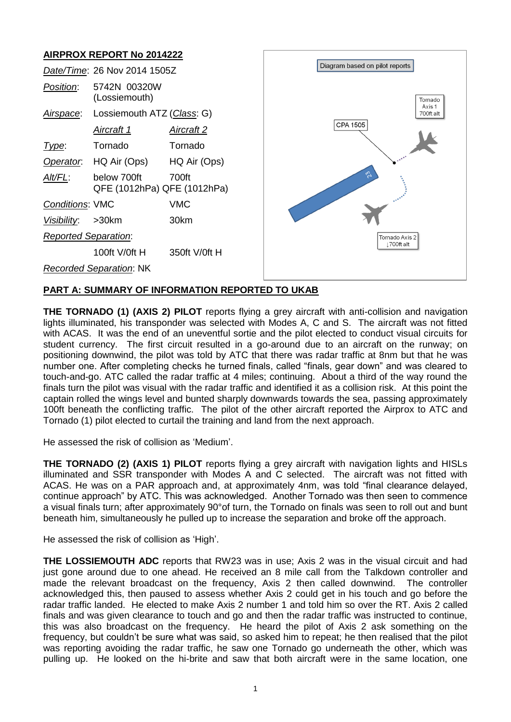# **AIRPROX REPORT No 2014222**

| AIN NUA NEI UNT NU ZUITZZZ |                                                                                                                                                                                                              |  |
|----------------------------|--------------------------------------------------------------------------------------------------------------------------------------------------------------------------------------------------------------|--|
|                            | Diagram based on pilot reports                                                                                                                                                                               |  |
|                            | Tornado                                                                                                                                                                                                      |  |
|                            | Axis 1<br>700ft alt                                                                                                                                                                                          |  |
| <u>Aircraft 2</u>          | CPA 1505                                                                                                                                                                                                     |  |
| Tornado                    |                                                                                                                                                                                                              |  |
| HQ Air (Ops)               |                                                                                                                                                                                                              |  |
| 700ft                      | $\tilde{\mathcal{G}}$                                                                                                                                                                                        |  |
| <b>VMC</b>                 |                                                                                                                                                                                                              |  |
| 30km                       |                                                                                                                                                                                                              |  |
|                            | Tornado Axis 2<br>1700ft alt                                                                                                                                                                                 |  |
| 350ft V/0ft H              |                                                                                                                                                                                                              |  |
|                            |                                                                                                                                                                                                              |  |
|                            | Date/Time: 26 Nov 2014 1505Z<br>5742N 00320W<br>(Lossiemouth)<br>Lossiemouth ATZ (Class: G)<br>HQ Air (Ops)<br>below 700ft<br>QFE (1012hPa) QFE (1012hPa)<br>100ft V/0ft H<br><b>Recorded Separation: NK</b> |  |

## **PART A: SUMMARY OF INFORMATION REPORTED TO UKAB**

**THE TORNADO (1) (AXIS 2) PILOT** reports flying a grey aircraft with anti-collision and navigation lights illuminated, his transponder was selected with Modes A, C and S. The aircraft was not fitted with ACAS. It was the end of an uneventful sortie and the pilot elected to conduct visual circuits for student currency. The first circuit resulted in a go-around due to an aircraft on the runway; on positioning downwind, the pilot was told by ATC that there was radar traffic at 8nm but that he was number one. After completing checks he turned finals, called "finals, gear down" and was cleared to touch-and-go. ATC called the radar traffic at 4 miles; continuing. About a third of the way round the finals turn the pilot was visual with the radar traffic and identified it as a collision risk. At this point the captain rolled the wings level and bunted sharply downwards towards the sea, passing approximately 100ft beneath the conflicting traffic. The pilot of the other aircraft reported the Airprox to ATC and Tornado (1) pilot elected to curtail the training and land from the next approach.

He assessed the risk of collision as 'Medium'.

**THE TORNADO (2) (AXIS 1) PILOT** reports flying a grey aircraft with navigation lights and HISLs illuminated and SSR transponder with Modes A and C selected. The aircraft was not fitted with ACAS. He was on a PAR approach and, at approximately 4nm, was told "final clearance delayed, continue approach" by ATC. This was acknowledged. Another Tornado was then seen to commence a visual finals turn; after approximately 90°of turn, the Tornado on finals was seen to roll out and bunt beneath him, simultaneously he pulled up to increase the separation and broke off the approach.

He assessed the risk of collision as 'High'.

**THE LOSSIEMOUTH ADC** reports that RW23 was in use; Axis 2 was in the visual circuit and had just gone around due to one ahead. He received an 8 mile call from the Talkdown controller and made the relevant broadcast on the frequency, Axis 2 then called downwind. The controller acknowledged this, then paused to assess whether Axis 2 could get in his touch and go before the radar traffic landed. He elected to make Axis 2 number 1 and told him so over the RT. Axis 2 called finals and was given clearance to touch and go and then the radar traffic was instructed to continue, this was also broadcast on the frequency. He heard the pilot of Axis 2 ask something on the frequency, but couldn't be sure what was said, so asked him to repeat; he then realised that the pilot was reporting avoiding the radar traffic, he saw one Tornado go underneath the other, which was pulling up. He looked on the hi-brite and saw that both aircraft were in the same location, one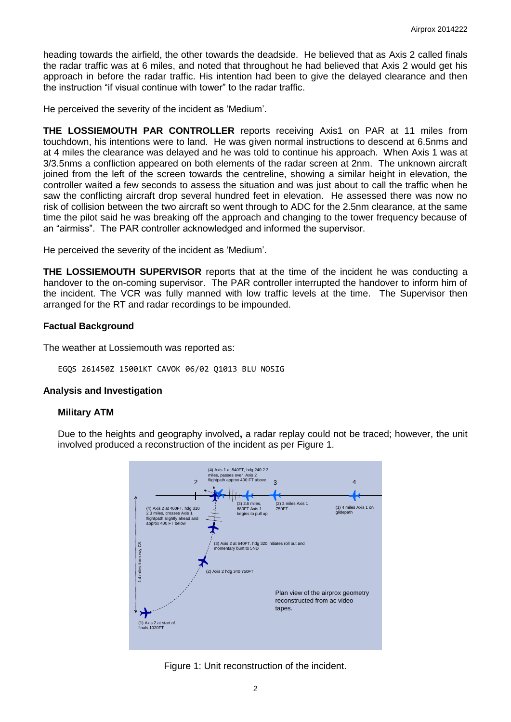heading towards the airfield, the other towards the deadside. He believed that as Axis 2 called finals the radar traffic was at 6 miles, and noted that throughout he had believed that Axis 2 would get his approach in before the radar traffic. His intention had been to give the delayed clearance and then the instruction "if visual continue with tower" to the radar traffic.

He perceived the severity of the incident as 'Medium'.

**THE LOSSIEMOUTH PAR CONTROLLER** reports receiving Axis1 on PAR at 11 miles from touchdown, his intentions were to land. He was given normal instructions to descend at 6.5nms and at 4 miles the clearance was delayed and he was told to continue his approach. When Axis 1 was at 3/3.5nms a confliction appeared on both elements of the radar screen at 2nm. The unknown aircraft joined from the left of the screen towards the centreline, showing a similar height in elevation, the controller waited a few seconds to assess the situation and was just about to call the traffic when he saw the conflicting aircraft drop several hundred feet in elevation. He assessed there was now no risk of collision between the two aircraft so went through to ADC for the 2.5nm clearance, at the same time the pilot said he was breaking off the approach and changing to the tower frequency because of an "airmiss". The PAR controller acknowledged and informed the supervisor.

He perceived the severity of the incident as 'Medium'.

**THE LOSSIEMOUTH SUPERVISOR** reports that at the time of the incident he was conducting a handover to the on-coming supervisor. The PAR controller interrupted the handover to inform him of the incident. The VCR was fully manned with low traffic levels at the time. The Supervisor then arranged for the RT and radar recordings to be impounded.

### **Factual Background**

The weather at Lossiemouth was reported as:

```
EGQS 261450Z 15001KT CAVOK 06/02 Q1013 BLU NOSIG
```
#### **Analysis and Investigation**

#### **Military ATM**

Due to the heights and geography involved**,** a radar replay could not be traced; however, the unit involved produced a reconstruction of the incident as per Figure 1.



Figure 1: Unit reconstruction of the incident.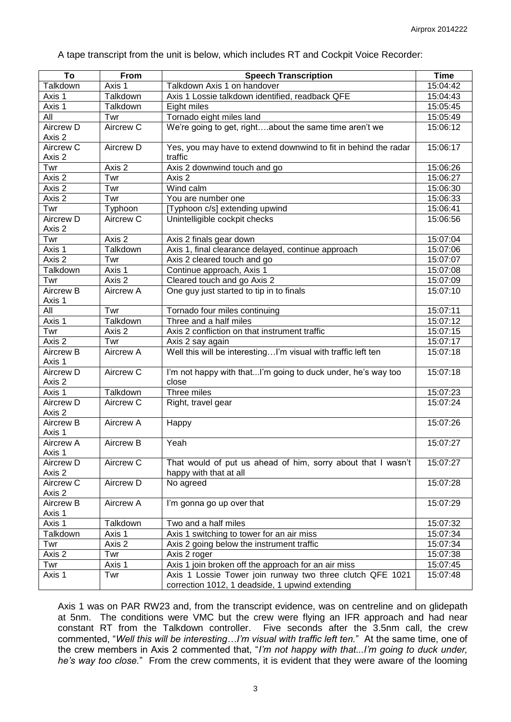A tape transcript from the unit is below, which includes RT and Cockpit Voice Recorder:

| To                   | From             | <b>Speech Transcription</b>                                     | <b>Time</b>          |
|----------------------|------------------|-----------------------------------------------------------------|----------------------|
| Talkdown             | Axis 1           | Talkdown Axis 1 on handover                                     | 15:04:42             |
| Axis 1               | Talkdown         | Axis 1 Lossie talkdown identified, readback QFE                 | 15:04:43             |
| Axis 1               | Talkdown         | Eight miles                                                     | 15:05:45             |
| All                  | Twr              | Tornado eight miles land                                        | 15:05:49             |
| Aircrew D            | Aircrew C        | We're going to get, rightabout the same time aren't we          | 15:06:12             |
| Axis 2               |                  |                                                                 |                      |
| Aircrew C            | Aircrew D        | Yes, you may have to extend downwind to fit in behind the radar | 15:06:17             |
| Axis 2               |                  | traffic                                                         |                      |
| Twr                  | Axis 2           | Axis 2 downwind touch and go                                    | 15:06:26             |
| Axis 2               | Twr              | Axis 2                                                          | 15:06:27             |
| Axis 2               | Twr              | Wind calm                                                       | 15:06:30             |
| Axis 2               | Twr              | You are number one                                              | 15:06:33             |
| Twr                  | Typhoon          | [Typhoon c/s] extending upwind                                  | 15:06:41             |
| Aircrew D            | Aircrew C        | Unintelligible cockpit checks                                   | 15:06:56             |
| Axis 2               |                  |                                                                 |                      |
| Twr                  | Axis 2           | Axis 2 finals gear down                                         | 15:07:04             |
| Axis 1               | Talkdown         | Axis 1, final clearance delayed, continue approach              | 15:07:06             |
| Axis 2               | Twr              | Axis 2 cleared touch and go                                     | 15:07:07             |
| Talkdown             | Axis 1           | Continue approach, Axis 1                                       | 15:07:08             |
| Twr                  | Axis 2           | Cleared touch and go Axis 2                                     | 15:07:09             |
| <b>Aircrew B</b>     | Aircrew A        | One guy just started to tip in to finals                        | 15:07:10             |
| Axis 1               |                  |                                                                 |                      |
| All                  | Twr              | Tornado four miles continuing                                   | 15:07:11             |
| Axis 1               | Talkdown         | Three and a half miles                                          | 15:07:12             |
| Twr                  | Axis 2           | Axis 2 confliction on that instrument traffic                   | 15:07:15             |
| Axis 2               | Twr              | Axis 2 say again                                                | 15:07:17             |
| <b>Aircrew B</b>     | <b>Aircrew A</b> | Well this will be interestingI'm visual with traffic left ten   | 15:07:18             |
| Axis 1               |                  |                                                                 |                      |
| Aircrew D            | Aircrew C        | I'm not happy with thatI'm going to duck under, he's way too    | 15:07:18             |
| Axis 2<br>Axis 1     | Talkdown         | close<br>Three miles                                            |                      |
| <b>Aircrew D</b>     | Aircrew C        | Right, travel gear                                              | 15:07:23<br>15:07:24 |
| Axis 2               |                  |                                                                 |                      |
| <b>Aircrew B</b>     | Aircrew A        | Happy                                                           | 15:07:26             |
| Axis 1               |                  |                                                                 |                      |
| Aircrew A            | Aircrew B        | Yeah                                                            | 15:07:27             |
| Axis 1               |                  |                                                                 |                      |
| Aircrew D            | Aircrew C        | That would of put us ahead of him, sorry about that I wasn't    | 15:07:27             |
| Axis 2               |                  | happy with that at all                                          |                      |
| Aircrew <sub>C</sub> | Aircrew D        | No agreed                                                       | 15:07:28             |
| Axis 2               |                  |                                                                 |                      |
| Aircrew B            | Aircrew A        | I'm gonna go up over that                                       | 15:07:29             |
| Axis 1               |                  |                                                                 |                      |
| Axis 1               | Talkdown         | Two and a half miles                                            | 15:07:32             |
| Talkdown             | Axis 1           | Axis 1 switching to tower for an air miss                       | 15:07:34             |
| Twr                  | Axis 2           | Axis 2 going below the instrument traffic                       | 15:07:34             |
| Axis 2               | Twr              | Axis 2 roger                                                    | 15:07:38             |
| Twr                  | Axis 1           | Axis 1 join broken off the approach for an air miss             | 15:07:45             |
| Axis 1               | Twr              | Axis 1 Lossie Tower join runway two three clutch QFE 1021       | 15:07:48             |
|                      |                  | correction 1012, 1 deadside, 1 upwind extending                 |                      |

Axis 1 was on PAR RW23 and, from the transcript evidence, was on centreline and on glidepath at 5nm. The conditions were VMC but the crew were flying an IFR approach and had near constant RT from the Talkdown controller. Five seconds after the 3.5nm call, the crew commented, "*Well this will be interesting…I'm visual with traffic left ten.*" At the same time, one of the crew members in Axis 2 commented that, "*I'm not happy with that...I'm going to duck under, he's way too close.*"From the crew comments, it is evident that they were aware of the looming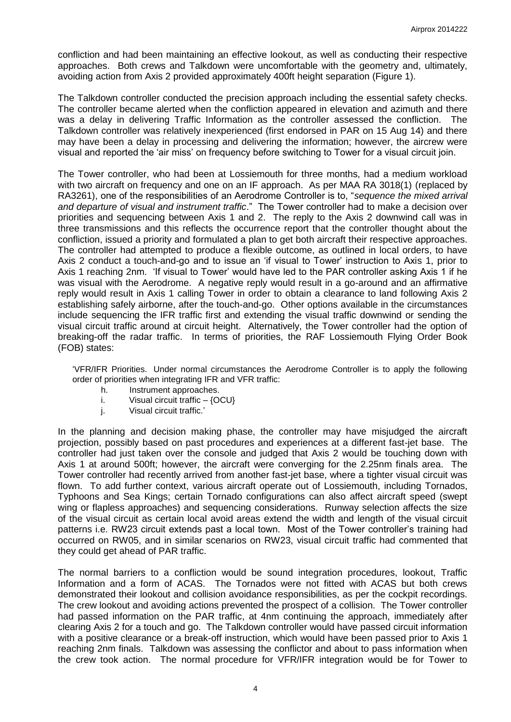confliction and had been maintaining an effective lookout, as well as conducting their respective approaches. Both crews and Talkdown were uncomfortable with the geometry and, ultimately, avoiding action from Axis 2 provided approximately 400ft height separation (Figure 1).

The Talkdown controller conducted the precision approach including the essential safety checks. The controller became alerted when the confliction appeared in elevation and azimuth and there was a delay in delivering Traffic Information as the controller assessed the confliction. The Talkdown controller was relatively inexperienced (first endorsed in PAR on 15 Aug 14) and there may have been a delay in processing and delivering the information; however, the aircrew were visual and reported the 'air miss' on frequency before switching to Tower for a visual circuit join.

The Tower controller, who had been at Lossiemouth for three months, had a medium workload with two aircraft on frequency and one on an IF approach. As per MAA RA 3018(1) (replaced by RA3261), one of the responsibilities of an Aerodrome Controller is to, "*sequence the mixed arrival and departure of visual and instrument traffic*." The Tower controller had to make a decision over priorities and sequencing between Axis 1 and 2. The reply to the Axis 2 downwind call was in three transmissions and this reflects the occurrence report that the controller thought about the confliction, issued a priority and formulated a plan to get both aircraft their respective approaches. The controller had attempted to produce a flexible outcome, as outlined in local orders, to have Axis 2 conduct a touch-and-go and to issue an 'if visual to Tower' instruction to Axis 1, prior to Axis 1 reaching 2nm. 'If visual to Tower' would have led to the PAR controller asking Axis 1 if he was visual with the Aerodrome. A negative reply would result in a go-around and an affirmative reply would result in Axis 1 calling Tower in order to obtain a clearance to land following Axis 2 establishing safely airborne, after the touch-and-go. Other options available in the circumstances include sequencing the IFR traffic first and extending the visual traffic downwind or sending the visual circuit traffic around at circuit height. Alternatively, the Tower controller had the option of breaking-off the radar traffic. In terms of priorities, the RAF Lossiemouth Flying Order Book (FOB) states:

'VFR/IFR Priorities. Under normal circumstances the Aerodrome Controller is to apply the following order of priorities when integrating IFR and VFR traffic:

- h. Instrument approaches.
- i. Visual circuit traffic  $-$  {OCU}
- j. Visual circuit traffic.'

In the planning and decision making phase, the controller may have misjudged the aircraft projection, possibly based on past procedures and experiences at a different fast-jet base. The controller had just taken over the console and judged that Axis 2 would be touching down with Axis 1 at around 500ft; however, the aircraft were converging for the 2.25nm finals area. The Tower controller had recently arrived from another fast-jet base, where a tighter visual circuit was flown. To add further context, various aircraft operate out of Lossiemouth, including Tornados, Typhoons and Sea Kings; certain Tornado configurations can also affect aircraft speed (swept wing or flapless approaches) and sequencing considerations. Runway selection affects the size of the visual circuit as certain local avoid areas extend the width and length of the visual circuit patterns i.e. RW23 circuit extends past a local town. Most of the Tower controller's training had occurred on RW05, and in similar scenarios on RW23, visual circuit traffic had commented that they could get ahead of PAR traffic.

The normal barriers to a confliction would be sound integration procedures, lookout, Traffic Information and a form of ACAS. The Tornados were not fitted with ACAS but both crews demonstrated their lookout and collision avoidance responsibilities, as per the cockpit recordings. The crew lookout and avoiding actions prevented the prospect of a collision. The Tower controller had passed information on the PAR traffic, at 4nm continuing the approach, immediately after clearing Axis 2 for a touch and go. The Talkdown controller would have passed circuit information with a positive clearance or a break-off instruction, which would have been passed prior to Axis 1 reaching 2nm finals. Talkdown was assessing the conflictor and about to pass information when the crew took action. The normal procedure for VFR/IFR integration would be for Tower to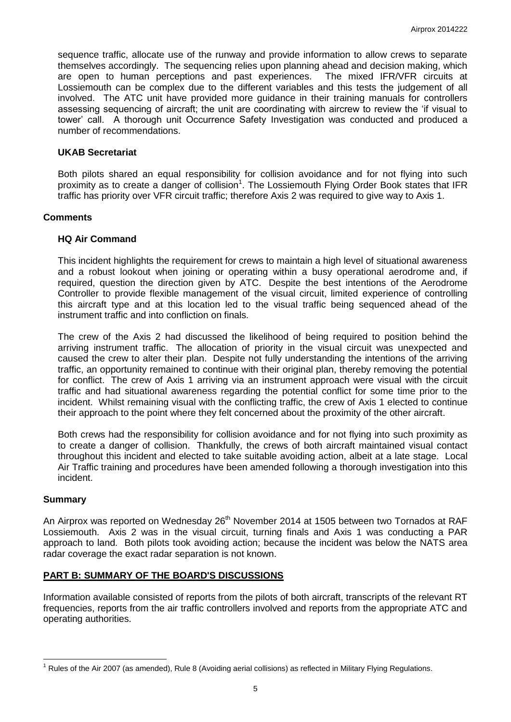sequence traffic, allocate use of the runway and provide information to allow crews to separate themselves accordingly. The sequencing relies upon planning ahead and decision making, which are open to human perceptions and past experiences. The mixed IFR/VFR circuits at Lossiemouth can be complex due to the different variables and this tests the judgement of all involved. The ATC unit have provided more guidance in their training manuals for controllers assessing sequencing of aircraft; the unit are coordinating with aircrew to review the 'if visual to tower' call. A thorough unit Occurrence Safety Investigation was conducted and produced a number of recommendations.

### **UKAB Secretariat**

Both pilots shared an equal responsibility for collision avoidance and for not flying into such proximity as to create a danger of collision<sup>1</sup>. The Lossiemouth Flying Order Book states that IFR traffic has priority over VFR circuit traffic; therefore Axis 2 was required to give way to Axis 1.

### **Comments**

### **HQ Air Command**

This incident highlights the requirement for crews to maintain a high level of situational awareness and a robust lookout when joining or operating within a busy operational aerodrome and, if required, question the direction given by ATC. Despite the best intentions of the Aerodrome Controller to provide flexible management of the visual circuit, limited experience of controlling this aircraft type and at this location led to the visual traffic being sequenced ahead of the instrument traffic and into confliction on finals.

The crew of the Axis 2 had discussed the likelihood of being required to position behind the arriving instrument traffic. The allocation of priority in the visual circuit was unexpected and caused the crew to alter their plan. Despite not fully understanding the intentions of the arriving traffic, an opportunity remained to continue with their original plan, thereby removing the potential for conflict. The crew of Axis 1 arriving via an instrument approach were visual with the circuit traffic and had situational awareness regarding the potential conflict for some time prior to the incident. Whilst remaining visual with the conflicting traffic, the crew of Axis 1 elected to continue their approach to the point where they felt concerned about the proximity of the other aircraft.

Both crews had the responsibility for collision avoidance and for not flying into such proximity as to create a danger of collision. Thankfully, the crews of both aircraft maintained visual contact throughout this incident and elected to take suitable avoiding action, albeit at a late stage. Local Air Traffic training and procedures have been amended following a thorough investigation into this incident.

#### **Summary**

 $\overline{a}$ 

An Airprox was reported on Wednesday 26<sup>th</sup> November 2014 at 1505 between two Tornados at RAF Lossiemouth. Axis 2 was in the visual circuit, turning finals and Axis 1 was conducting a PAR approach to land. Both pilots took avoiding action; because the incident was below the NATS area radar coverage the exact radar separation is not known.

## **PART B: SUMMARY OF THE BOARD'S DISCUSSIONS**

Information available consisted of reports from the pilots of both aircraft, transcripts of the relevant RT frequencies, reports from the air traffic controllers involved and reports from the appropriate ATC and operating authorities.

 $1$  Rules of the Air 2007 (as amended), Rule 8 (Avoiding aerial collisions) as reflected in Military Flying Regulations.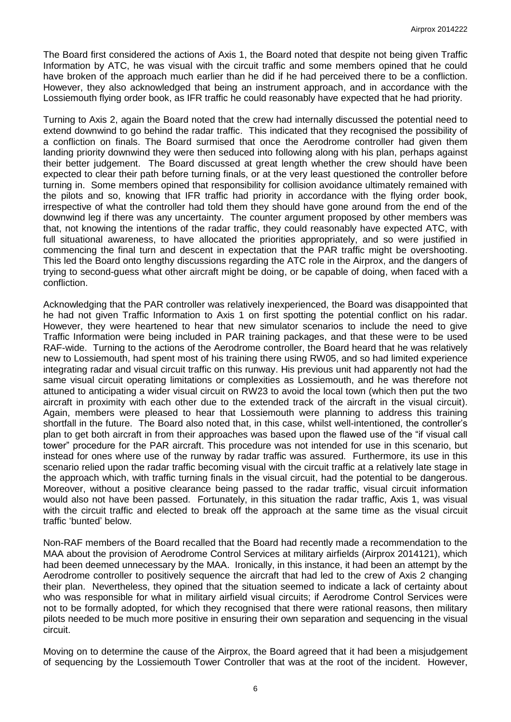The Board first considered the actions of Axis 1, the Board noted that despite not being given Traffic Information by ATC, he was visual with the circuit traffic and some members opined that he could have broken of the approach much earlier than he did if he had perceived there to be a confliction. However, they also acknowledged that being an instrument approach, and in accordance with the Lossiemouth flying order book, as IFR traffic he could reasonably have expected that he had priority.

Turning to Axis 2, again the Board noted that the crew had internally discussed the potential need to extend downwind to go behind the radar traffic. This indicated that they recognised the possibility of a confliction on finals. The Board surmised that once the Aerodrome controller had given them landing priority downwind they were then seduced into following along with his plan, perhaps against their better judgement. The Board discussed at great length whether the crew should have been expected to clear their path before turning finals, or at the very least questioned the controller before turning in. Some members opined that responsibility for collision avoidance ultimately remained with the pilots and so, knowing that IFR traffic had priority in accordance with the flying order book, irrespective of what the controller had told them they should have gone around from the end of the downwind leg if there was any uncertainty. The counter argument proposed by other members was that, not knowing the intentions of the radar traffic, they could reasonably have expected ATC, with full situational awareness, to have allocated the priorities appropriately, and so were justified in commencing the final turn and descent in expectation that the PAR traffic might be overshooting. This led the Board onto lengthy discussions regarding the ATC role in the Airprox, and the dangers of trying to second-guess what other aircraft might be doing, or be capable of doing, when faced with a confliction.

Acknowledging that the PAR controller was relatively inexperienced, the Board was disappointed that he had not given Traffic Information to Axis 1 on first spotting the potential conflict on his radar. However, they were heartened to hear that new simulator scenarios to include the need to give Traffic Information were being included in PAR training packages, and that these were to be used RAF-wide. Turning to the actions of the Aerodrome controller, the Board heard that he was relatively new to Lossiemouth, had spent most of his training there using RW05, and so had limited experience integrating radar and visual circuit traffic on this runway. His previous unit had apparently not had the same visual circuit operating limitations or complexities as Lossiemouth, and he was therefore not attuned to anticipating a wider visual circuit on RW23 to avoid the local town (which then put the two aircraft in proximity with each other due to the extended track of the aircraft in the visual circuit). Again, members were pleased to hear that Lossiemouth were planning to address this training shortfall in the future. The Board also noted that, in this case, whilst well-intentioned, the controller's plan to get both aircraft in from their approaches was based upon the flawed use of the "if visual call tower" procedure for the PAR aircraft. This procedure was not intended for use in this scenario, but instead for ones where use of the runway by radar traffic was assured. Furthermore, its use in this scenario relied upon the radar traffic becoming visual with the circuit traffic at a relatively late stage in the approach which, with traffic turning finals in the visual circuit, had the potential to be dangerous. Moreover, without a positive clearance being passed to the radar traffic, visual circuit information would also not have been passed. Fortunately, in this situation the radar traffic, Axis 1, was visual with the circuit traffic and elected to break off the approach at the same time as the visual circuit traffic 'bunted' below.

Non-RAF members of the Board recalled that the Board had recently made a recommendation to the MAA about the provision of Aerodrome Control Services at military airfields (Airprox 2014121), which had been deemed unnecessary by the MAA. Ironically, in this instance, it had been an attempt by the Aerodrome controller to positively sequence the aircraft that had led to the crew of Axis 2 changing their plan. Nevertheless, they opined that the situation seemed to indicate a lack of certainty about who was responsible for what in military airfield visual circuits; if Aerodrome Control Services were not to be formally adopted, for which they recognised that there were rational reasons, then military pilots needed to be much more positive in ensuring their own separation and sequencing in the visual circuit.

Moving on to determine the cause of the Airprox, the Board agreed that it had been a misjudgement of sequencing by the Lossiemouth Tower Controller that was at the root of the incident. However,